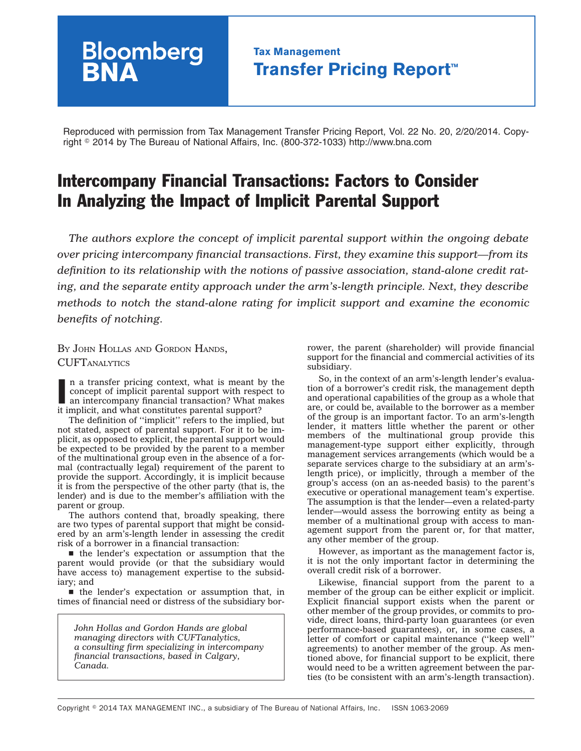## **Tax Management Transfer Pricing Report™**

Reproduced with permission from Tax Management Transfer Pricing Report, Vol. 22 No. 20, 2/20/2014. Copyright - 2014 by The Bureau of National Affairs, Inc. (800-372-1033) http://www.bna.com

# Intercompany Financial Transactions: Factors to Consider In Analyzing the Impact of Implicit Parental Support

*The authors explore the concept of implicit parental support within the ongoing debate over pricing intercompany financial transactions. First, they examine this support—from its definition to its relationship with the notions of passive association, stand-alone credit rating, and the separate entity approach under the arm's-length principle. Next, they describe methods to notch the stand-alone rating for implicit support and examine the economic benefits of notching.*

BY JOHN HOLLAS AND GORDON HANDS, **CUFTANALYTICS** 

**Bloomberg** 

In a transfer pricing context, what is meant b concept of implicit parental support with resp an intercompany financial transaction? What rit implicit, and what constitutes parental support? n a transfer pricing context, what is meant by the concept of implicit parental support with respect to an intercompany financial transaction? What makes

The definition of ''implicit'' refers to the implied, but not stated, aspect of parental support. For it to be implicit, as opposed to explicit, the parental support would be expected to be provided by the parent to a member of the multinational group even in the absence of a formal (contractually legal) requirement of the parent to provide the support. Accordingly, it is implicit because it is from the perspective of the other party (that is, the lender) and is due to the member's affiliation with the parent or group.

The authors contend that, broadly speaking, there are two types of parental support that might be considered by an arm's-length lender in assessing the credit risk of a borrower in a financial transaction:

 $\blacksquare$  the lender's expectation or assumption that the parent would provide (or that the subsidiary would have access to) management expertise to the subsidiary; and

 $\blacksquare$  the lender's expectation or assumption that, in times of financial need or distress of the subsidiary bor-

*John Hollas and Gordon Hands are global managing directors with CUFTanalytics, a consulting firm specializing in intercompany financial transactions, based in Calgary, Canada.*

rower, the parent (shareholder) will provide financial support for the financial and commercial activities of its subsidiary.

So, in the context of an arm's-length lender's evaluation of a borrower's credit risk, the management depth and operational capabilities of the group as a whole that are, or could be, available to the borrower as a member of the group is an important factor. To an arm's-length lender, it matters little whether the parent or other members of the multinational group provide this management-type support either explicitly, through management services arrangements (which would be a separate services charge to the subsidiary at an arm'slength price), or implicitly, through a member of the group's access (on an as-needed basis) to the parent's executive or operational management team's expertise. The assumption is that the lender—even a related-party lender—would assess the borrowing entity as being a member of a multinational group with access to management support from the parent or, for that matter, any other member of the group.

However, as important as the management factor is, it is not the only important factor in determining the overall credit risk of a borrower.

Likewise, financial support from the parent to a member of the group can be either explicit or implicit. Explicit financial support exists when the parent or other member of the group provides, or commits to provide, direct loans, third-party loan guarantees (or even performance-based guarantees), or, in some cases, a letter of comfort or capital maintenance (''keep well'' agreements) to another member of the group. As mentioned above, for financial support to be explicit, there would need to be a written agreement between the parties (to be consistent with an arm's-length transaction).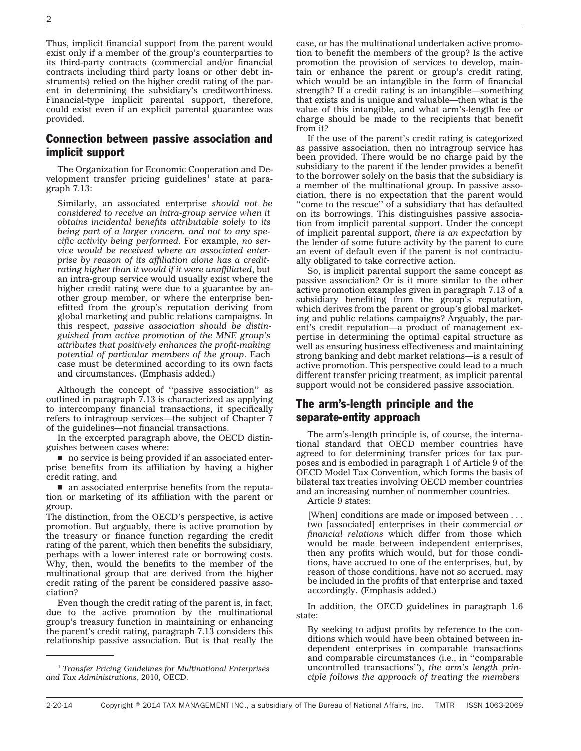Thus, implicit financial support from the parent would exist only if a member of the group's counterparties to its third-party contracts (commercial and/or financial contracts including third party loans or other debt instruments) relied on the higher credit rating of the parent in determining the subsidiary's creditworthiness. Financial-type implicit parental support, therefore, could exist even if an explicit parental guarantee was provided.

#### Connection between passive association and implicit support

The Organization for Economic Cooperation and Development transfer pricing guidelines<sup>1</sup> state at paragraph 7.13:

Similarly, an associated enterprise *should not be considered to receive an intra-group service when it obtains incidental benefits attributable solely to its being part of a larger concern, and not to any specific activity being performed*. For example, *no service would be received where an associated enterprise by reason of its affiliation alone has a creditrating higher than it would if it were unaffiliated*, but an intra-group service would usually exist where the higher credit rating were due to a guarantee by another group member, or where the enterprise benefitted from the group's reputation deriving from global marketing and public relations campaigns. In this respect, *passive association should be distinguished from active promotion of the MNE group's attributes that positively enhances the profit-making potential of particular members of the group*. Each case must be determined according to its own facts and circumstances. (Emphasis added.)

Although the concept of ''passive association'' as outlined in paragraph 7.13 is characterized as applying to intercompany financial transactions, it specifically refers to intragroup services—the subject of Chapter 7 of the guidelines—not financial transactions.

In the excerpted paragraph above, the OECD distinguishes between cases where:

 $\blacksquare$  no service is being provided if an associated enterprise benefits from its affiliation by having a higher credit rating, and

 $\blacksquare$  an associated enterprise benefits from the reputation or marketing of its affiliation with the parent or group.

The distinction, from the OECD's perspective, is active promotion. But arguably, there is active promotion by the treasury or finance function regarding the credit rating of the parent, which then benefits the subsidiary, perhaps with a lower interest rate or borrowing costs. Why, then, would the benefits to the member of the multinational group that are derived from the higher credit rating of the parent be considered passive association?

Even though the credit rating of the parent is, in fact, due to the active promotion by the multinational group's treasury function in maintaining or enhancing the parent's credit rating, paragraph 7.13 considers this relationship passive association. But is that really the

case, or has the multinational undertaken active promotion to benefit the members of the group? Is the active promotion the provision of services to develop, maintain or enhance the parent or group's credit rating, which would be an intangible in the form of financial strength? If a credit rating is an intangible—something that exists and is unique and valuable—then what is the value of this intangible, and what arm's-length fee or charge should be made to the recipients that benefit from it?

If the use of the parent's credit rating is categorized as passive association, then no intragroup service has been provided. There would be no charge paid by the subsidiary to the parent if the lender provides a benefit to the borrower solely on the basis that the subsidiary is a member of the multinational group. In passive association, there is no expectation that the parent would "come to the rescue" of a subsidiary that has defaulted on its borrowings. This distinguishes passive association from implicit parental support. Under the concept of implicit parental support, *there is an expectation* by the lender of some future activity by the parent to cure an event of default even if the parent is not contractually obligated to take corrective action.

So, is implicit parental support the same concept as passive association? Or is it more similar to the other active promotion examples given in paragraph 7.13 of a subsidiary benefiting from the group's reputation, which derives from the parent or group's global marketing and public relations campaigns? Arguably, the parent's credit reputation—a product of management expertise in determining the optimal capital structure as well as ensuring business effectiveness and maintaining strong banking and debt market relations—is a result of active promotion. This perspective could lead to a much different transfer pricing treatment, as implicit parental support would not be considered passive association.

## The arm's-length principle and the separate-entity approach

The arm's-length principle is, of course, the international standard that OECD member countries have agreed to for determining transfer prices for tax purposes and is embodied in paragraph 1 of Article 9 of the OECD Model Tax Convention, which forms the basis of bilateral tax treaties involving OECD member countries and an increasing number of nonmember countries.

Article 9 states:

[When] conditions are made or imposed between . . . two [associated] enterprises in their commercial *or financial relations* which differ from those which would be made between independent enterprises, then any profits which would, but for those conditions, have accrued to one of the enterprises, but, by reason of those conditions, have not so accrued, may be included in the profits of that enterprise and taxed accordingly. (Emphasis added.)

In addition, the OECD guidelines in paragraph 1.6 state:

By seeking to adjust profits by reference to the conditions which would have been obtained between independent enterprises in comparable transactions and comparable circumstances (i.e., in ''comparable uncontrolled transactions''), *the arm's length principle follows the approach of treating the members*

<sup>1</sup> *Transfer Pricing Guidelines for Multinational Enterprises and Tax Administrations*, 2010, OECD.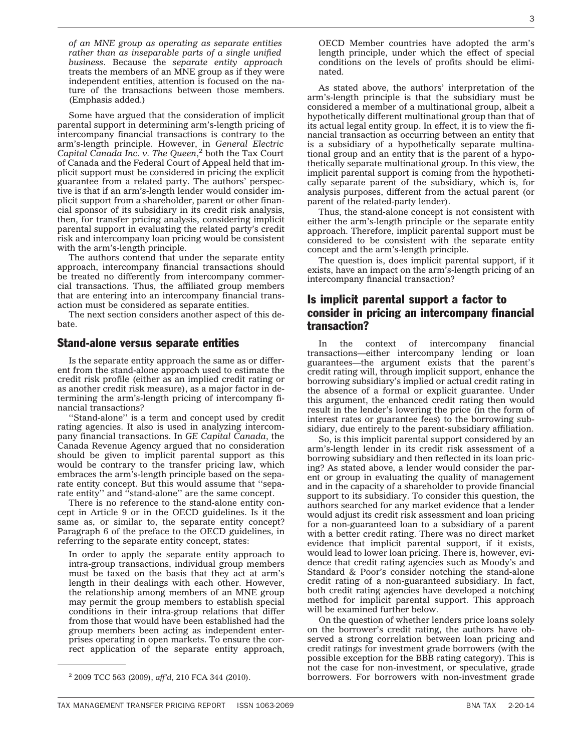*of an MNE group as operating as separate entities rather than as inseparable parts of a single unified business*. Because the *separate entity approach* treats the members of an MNE group as if they were independent entities, attention is focused on the nature of the transactions between those members. (Emphasis added.)

Some have argued that the consideration of implicit parental support in determining arm's-length pricing of intercompany financial transactions is contrary to the arm's-length principle. However, in *General Electric Capital Canada Inc. v. The Queen*, <sup>2</sup> both the Tax Court of Canada and the Federal Court of Appeal held that implicit support must be considered in pricing the explicit guarantee from a related party. The authors' perspective is that if an arm's-length lender would consider implicit support from a shareholder, parent or other financial sponsor of its subsidiary in its credit risk analysis, then, for transfer pricing analysis, considering implicit parental support in evaluating the related party's credit risk and intercompany loan pricing would be consistent with the arm's-length principle.

The authors contend that under the separate entity approach, intercompany financial transactions should be treated no differently from intercompany commercial transactions. Thus, the affiliated group members that are entering into an intercompany financial transaction must be considered as separate entities.

The next section considers another aspect of this debate.

#### Stand-alone versus separate entities

Is the separate entity approach the same as or different from the stand-alone approach used to estimate the credit risk profile (either as an implied credit rating or as another credit risk measure), as a major factor in determining the arm's-length pricing of intercompany financial transactions?

''Stand-alone'' is a term and concept used by credit rating agencies. It also is used in analyzing intercompany financial transactions. In *GE Capital Canada*, the Canada Revenue Agency argued that no consideration should be given to implicit parental support as this would be contrary to the transfer pricing law, which embraces the arm's-length principle based on the separate entity concept. But this would assume that ''separate entity" and "stand-alone" are the same concept.

There is no reference to the stand-alone entity concept in Article 9 or in the OECD guidelines. Is it the same as, or similar to, the separate entity concept? Paragraph 6 of the preface to the OECD guidelines, in referring to the separate entity concept, states:

In order to apply the separate entity approach to intra-group transactions, individual group members must be taxed on the basis that they act at arm's length in their dealings with each other. However, the relationship among members of an MNE group may permit the group members to establish special conditions in their intra-group relations that differ from those that would have been established had the group members been acting as independent enterprises operating in open markets. To ensure the correct application of the separate entity approach,

OECD Member countries have adopted the arm's length principle, under which the effect of special conditions on the levels of profits should be eliminated.

As stated above, the authors' interpretation of the arm's-length principle is that the subsidiary must be considered a member of a multinational group, albeit a hypothetically different multinational group than that of its actual legal entity group. In effect, it is to view the financial transaction as occurring between an entity that is a subsidiary of a hypothetically separate multinational group and an entity that is the parent of a hypothetically separate multinational group. In this view, the implicit parental support is coming from the hypothetically separate parent of the subsidiary, which is, for analysis purposes, different from the actual parent (or parent of the related-party lender).

Thus, the stand-alone concept is not consistent with either the arm's-length principle or the separate entity approach. Therefore, implicit parental support must be considered to be consistent with the separate entity concept and the arm's-length principle.

The question is, does implicit parental support, if it exists, have an impact on the arm's-length pricing of an intercompany financial transaction?

## Is implicit parental support a factor to consider in pricing an intercompany financial transaction?

In the context of intercompany financial transactions—either intercompany lending or loan guarantees—the argument exists that the parent's credit rating will, through implicit support, enhance the borrowing subsidiary's implied or actual credit rating in the absence of a formal or explicit guarantee. Under this argument, the enhanced credit rating then would result in the lender's lowering the price (in the form of interest rates or guarantee fees) to the borrowing subsidiary, due entirely to the parent-subsidiary affiliation.

So, is this implicit parental support considered by an arm's-length lender in its credit risk assessment of a borrowing subsidiary and then reflected in its loan pricing? As stated above, a lender would consider the parent or group in evaluating the quality of management and in the capacity of a shareholder to provide financial support to its subsidiary. To consider this question, the authors searched for any market evidence that a lender would adjust its credit risk assessment and loan pricing for a non-guaranteed loan to a subsidiary of a parent with a better credit rating. There was no direct market evidence that implicit parental support, if it exists, would lead to lower loan pricing. There is, however, evidence that credit rating agencies such as Moody's and Standard & Poor's consider notching the stand-alone credit rating of a non-guaranteed subsidiary. In fact, both credit rating agencies have developed a notching method for implicit parental support. This approach will be examined further below.

On the question of whether lenders price loans solely on the borrower's credit rating, the authors have observed a strong correlation between loan pricing and credit ratings for investment grade borrowers (with the possible exception for the BBB rating category). This is not the case for non-investment, or speculative, grade borrowers. For borrowers with non-investment grade <sup>2</sup> 2009 TCC 563 (2009), *aff'd*, 210 FCA 344 (2010).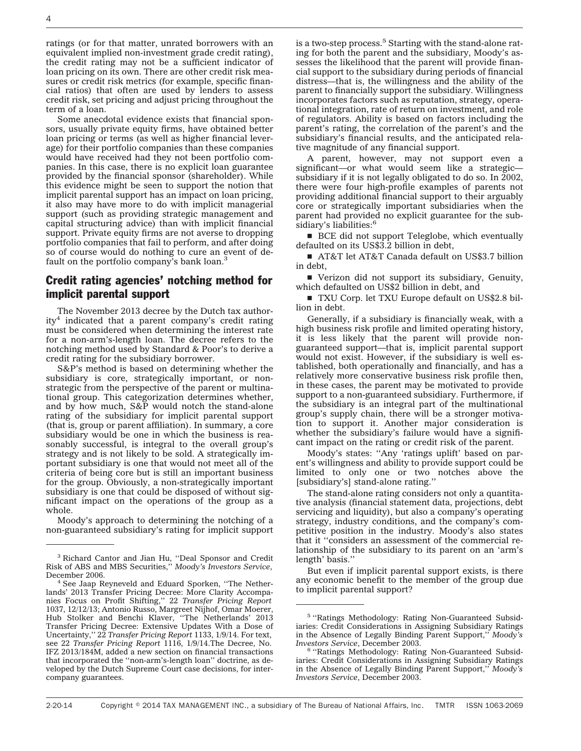ratings (or for that matter, unrated borrowers with an equivalent implied non-investment grade credit rating), the credit rating may not be a sufficient indicator of loan pricing on its own. There are other credit risk measures or credit risk metrics (for example, specific financial ratios) that often are used by lenders to assess credit risk, set pricing and adjust pricing throughout the term of a loan.

Some anecdotal evidence exists that financial sponsors, usually private equity firms, have obtained better loan pricing or terms (as well as higher financial leverage) for their portfolio companies than these companies would have received had they not been portfolio companies. In this case, there is no explicit loan guarantee provided by the financial sponsor (shareholder). While this evidence might be seen to support the notion that implicit parental support has an impact on loan pricing, it also may have more to do with implicit managerial support (such as providing strategic management and capital structuring advice) than with implicit financial support. Private equity firms are not averse to dropping portfolio companies that fail to perform, and after doing so of course would do nothing to cure an event of default on the portfolio company's bank loan.<sup>3</sup>

## Credit rating agencies' notching method for implicit parental support

The November 2013 decree by the Dutch tax author $ity<sup>4</sup>$  indicated that a parent company's credit rating must be considered when determining the interest rate for a non-arm's-length loan. The decree refers to the notching method used by Standard & Poor's to derive a credit rating for the subsidiary borrower.

S&P's method is based on determining whether the subsidiary is core, strategically important, or nonstrategic from the perspective of the parent or multinational group. This categorization determines whether, and by how much, S&P would notch the stand-alone rating of the subsidiary for implicit parental support (that is, group or parent affiliation). In summary, a core subsidiary would be one in which the business is reasonably successful, is integral to the overall group's strategy and is not likely to be sold. A strategically important subsidiary is one that would not meet all of the criteria of being core but is still an important business for the group. Obviously, a non-strategically important subsidiary is one that could be disposed of without significant impact on the operations of the group as a whole.

Moody's approach to determining the notching of a non-guaranteed subsidiary's rating for implicit support

is a two-step process.<sup>5</sup> Starting with the stand-alone rating for both the parent and the subsidiary, Moody's assesses the likelihood that the parent will provide financial support to the subsidiary during periods of financial distress—that is, the willingness and the ability of the parent to financially support the subsidiary. Willingness incorporates factors such as reputation, strategy, operational integration, rate of return on investment, and role of regulators. Ability is based on factors including the parent's rating, the correlation of the parent's and the subsidiary's financial results, and the anticipated relative magnitude of any financial support.

A parent, however, may not support even a significant—or what would seem like a strategic subsidiary if it is not legally obligated to do so. In 2002, there were four high-profile examples of parents not providing additional financial support to their arguably core or strategically important subsidiaries when the parent had provided no explicit guarantee for the subsidiary's liabilities:<sup>6</sup>

**BCE** did not support Teleglobe, which eventually defaulted on its US\$3.2 billion in debt,

■ AT&T let AT&T Canada default on US\$3.7 billion in debt,

■ Verizon did not support its subsidiary, Genuity, which defaulted on US\$2 billion in debt, and

TXU Corp. let TXU Europe default on US\$2.8 billion in debt.

Generally, if a subsidiary is financially weak, with a high business risk profile and limited operating history, it is less likely that the parent will provide nonguaranteed support—that is, implicit parental support would not exist. However, if the subsidiary is well established, both operationally and financially, and has a relatively more conservative business risk profile then, in these cases, the parent may be motivated to provide support to a non-guaranteed subsidiary. Furthermore, if the subsidiary is an integral part of the multinational group's supply chain, there will be a stronger motivation to support it. Another major consideration is whether the subsidiary's failure would have a significant impact on the rating or credit risk of the parent.

Moody's states: ''Any 'ratings uplift' based on parent's willingness and ability to provide support could be limited to only one or two notches above the [subsidiary's] stand-alone rating.''

The stand-alone rating considers not only a quantitative analysis (financial statement data, projections, debt servicing and liquidity), but also a company's operating strategy, industry conditions, and the company's competitive position in the industry. Moody's also states that it ''considers an assessment of the commercial relationship of the subsidiary to its parent on an 'arm's length' basis.''

But even if implicit parental support exists, is there any economic benefit to the member of the group due to implicit parental support?

<sup>3</sup> Richard Cantor and Jian Hu, ''Deal Sponsor and Credit Risk of ABS and MBS Securities,'' *Moody's Investors Service*,

December 2006. <sup>4</sup> See Jaap Reyneveld and Eduard Sporken, ''The Netherlands' 2013 Transfer Pricing Decree: More Clarity Accompanies Focus on Profit Shifting,'' 22 *Transfer Pricing Report* 1037, 12/12/13; Antonio Russo, Margreet Nijhof, Omar Moerer, Hub Stolker and Benchi Klaver, "The Netherlands' 2013 Transfer Pricing Decree: Extensive Updates With a Dose of Uncertainty,'' 22 *Transfer Pricing Report* 1133, 1/9/14. For text, see 22 *Transfer Pricing Report* 1116, 1/9/14.The Decree, No. IFZ 2013/184M, added a new section on financial transactions that incorporated the ''non-arm's-length loan'' doctrine, as developed by the Dutch Supreme Court case decisions, for intercompany guarantees.

<sup>5</sup> ''Ratings Methodology: Rating Non-Guaranteed Subsidiaries: Credit Considerations in Assigning Subsidiary Ratings in the Absence of Legally Binding Parent Support,'' *Moody's*

*Investors Service*, December 2003. <sup>6</sup> ''Ratings Methodology: Rating Non-Guaranteed Subsidiaries: Credit Considerations in Assigning Subsidiary Ratings in the Absence of Legally Binding Parent Support,'' *Moody's Investors Service*, December 2003.